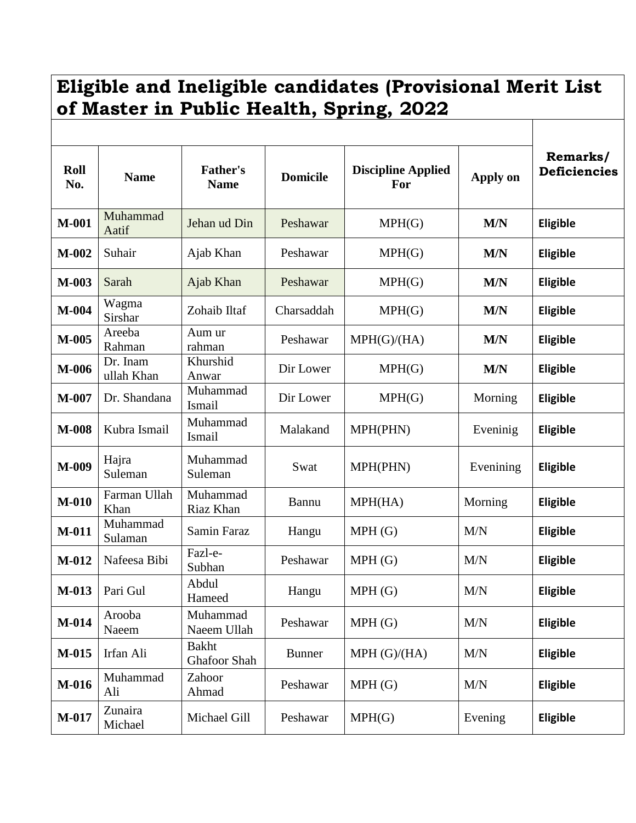## **Eligible and Ineligible candidates (Provisional Merit List of Master in Public Health, Spring, 2022**

| Roll<br>No. | <b>Name</b>            | <b>Father's</b><br><b>Name</b> | <b>Domicile</b> | <b>Discipline Applied</b><br>For | Apply on  | Remarks/<br><b>Deficiencies</b> |
|-------------|------------------------|--------------------------------|-----------------|----------------------------------|-----------|---------------------------------|
| M-001       | Muhammad<br>Aatif      | Jehan ud Din                   | Peshawar        | MPH(G)                           | M/N       | Eligible                        |
| $M-002$     | Suhair                 | Ajab Khan                      | Peshawar        | MPH(G)                           | M/N       | Eligible                        |
| $M-003$     | Sarah                  | Ajab Khan                      | Peshawar        | MPH(G)                           | M/N       | Eligible                        |
| $M-004$     | Wagma<br>Sirshar       | Zohaib Iltaf                   | Charsaddah      | MPH(G)                           | M/N       | <b>Eligible</b>                 |
| $M-005$     | Areeba<br>Rahman       | Aum ur<br>rahman               | Peshawar        | MPH(G)/(HA)                      | M/N       | Eligible                        |
| M-006       | Dr. Inam<br>ullah Khan | Khurshid<br>Anwar              | Dir Lower       | MPH(G)                           | M/N       | Eligible                        |
| $M-007$     | Dr. Shandana           | Muhammad<br>Ismail             | Dir Lower       | MPH(G)                           | Morning   | Eligible                        |
| M-008       | Kubra Ismail           | Muhammad<br>Ismail             | Malakand        | MPH(PHN)                         | Eveninig  | Eligible                        |
| M-009       | Hajra<br>Suleman       | Muhammad<br>Suleman            | Swat            | MPH(PHN)                         | Evenining | Eligible                        |
| $M-010$     | Farman Ullah<br>Khan   | Muhammad<br>Riaz Khan          | Bannu           | MPH(HA)                          | Morning   | Eligible                        |
| M-011       | Muhammad<br>Sulaman    | Samin Faraz                    | Hangu           | MPH(G)                           | M/N       | Eligible                        |
| M-012       | Nafeesa Bibi           | Fazl-e-<br>Subhan              | Peshawar        | MPH(G)                           | M/N       | Eligible                        |
| $M-013$     | Pari Gul               | Abdul<br>Hameed                | Hangu           | MPH(G)                           | M/N       | Eligible                        |
| $M-014$     | Arooba<br>Naeem        | Muhammad<br>Naeem Ullah        | Peshawar        | MPH(G)                           | M/N       | Eligible                        |
| M-015       | Irfan Ali              | <b>Bakht</b><br>Ghafoor Shah   | <b>Bunner</b>   | MPH(G)/(HA)                      | M/N       | Eligible                        |
| M-016       | Muhammad<br>Ali        | Zahoor<br>Ahmad                | Peshawar        | MPH(G)                           | M/N       | Eligible                        |
| M-017       | Zunaira<br>Michael     | Michael Gill                   | Peshawar        | MPH(G)                           | Evening   | Eligible                        |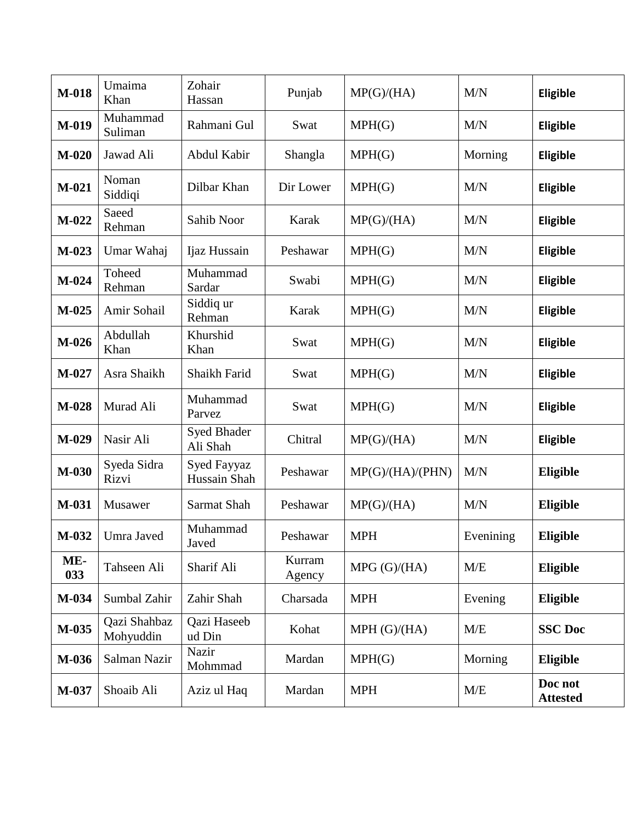| M-018      | Umaima<br>Khan            | Zohair<br>Hassan            | Punjab           | MP(G)/(HA)       | M/N       | Eligible                   |
|------------|---------------------------|-----------------------------|------------------|------------------|-----------|----------------------------|
| M-019      | Muhammad<br>Suliman       | Rahmani Gul                 | Swat             | MPH(G)           | M/N       | Eligible                   |
| $M-020$    | Jawad Ali                 | Abdul Kabir                 | Shangla          | MPH(G)           | Morning   | Eligible                   |
| $M-021$    | Noman<br>Siddiqi          | Dilbar Khan                 | Dir Lower        | MPH(G)           | M/N       | Eligible                   |
| $M-022$    | Saeed<br>Rehman           | Sahib Noor                  | Karak            | MP(G)/(HA)       | M/N       | <b>Eligible</b>            |
| M-023      | Umar Wahaj                | Ijaz Hussain                | Peshawar         | MPH(G)           | M/N       | Eligible                   |
| $M-024$    | Toheed<br>Rehman          | Muhammad<br>Sardar          | Swabi            | MPH(G)           | M/N       | Eligible                   |
| $M-0.25$   | Amir Sohail               | Siddiq ur<br>Rehman         | Karak            | MPH(G)           | M/N       | Eligible                   |
| $M-026$    | Abdullah<br>Khan          | Khurshid<br>Khan            | Swat             | MPH(G)           | M/N       | Eligible                   |
| M-027      | Asra Shaikh               | Shaikh Farid                | Swat             | MPH(G)           | M/N       | Eligible                   |
| M-028      | Murad Ali                 | Muhammad<br>Parvez          | Swat             | MPH(G)           | M/N       | Eligible                   |
| M-029      | Nasir Ali                 | Syed Bhader<br>Ali Shah     | Chitral          | MP(G)/(HA)       | M/N       | Eligible                   |
| M-030      | Syeda Sidra<br>Rizvi      | Syed Fayyaz<br>Hussain Shah | Peshawar         | MP(G)/(HA)/(PHN) | M/N       | Eligible                   |
| M-031      | Musawer                   | Sarmat Shah                 | Peshawar         | MP(G)/(HA)       | M/N       | Eligible                   |
| $M-032$    | Umra Javed                | Muhammad<br>Javed           | Peshawar         | <b>MPH</b>       | Evenining | Eligible                   |
| ME-<br>033 | Tahseen Ali               | Sharif Ali                  | Kurram<br>Agency | MPG(G)/(HA)      | M/E       | Eligible                   |
| M-034      | Sumbal Zahir              | Zahir Shah                  | Charsada         | <b>MPH</b>       | Evening   | Eligible                   |
| M-035      | Qazi Shahbaz<br>Mohyuddin | Qazi Haseeb<br>ud Din       | Kohat            | MPH(G)/(HA)      | M/E       | <b>SSC Doc</b>             |
| M-036      | Salman Nazir              | Nazir<br>Mohmmad            | Mardan           | MPH(G)           | Morning   | Eligible                   |
| M-037      | Shoaib Ali                | Aziz ul Haq                 | Mardan           | <b>MPH</b>       | M/E       | Doc not<br><b>Attested</b> |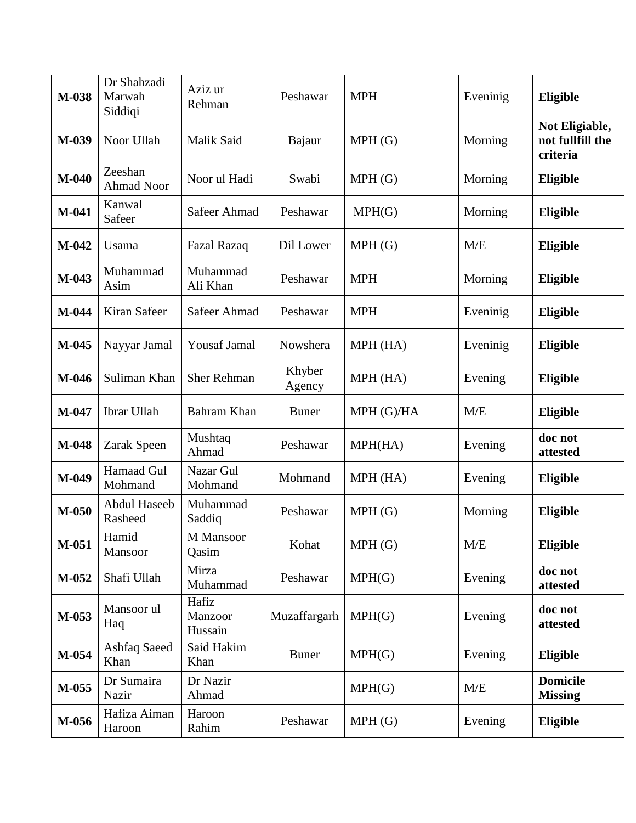| M-038   | Dr Shahzadi<br>Marwah<br>Siddiqi | Aziz ur<br>Rehman           | Peshawar         | <b>MPH</b> | Eveninig | Eligible                                       |
|---------|----------------------------------|-----------------------------|------------------|------------|----------|------------------------------------------------|
| M-039   | Noor Ullah                       | Malik Said                  | Bajaur           | MPH(G)     | Morning  | Not Eligiable,<br>not fullfill the<br>criteria |
| $M-040$ | Zeeshan<br><b>Ahmad Noor</b>     | Noor ul Hadi                | Swabi            | MPH(G)     | Morning  | Eligible                                       |
| $M-041$ | Kanwal<br>Safeer                 | Safeer Ahmad                | Peshawar         | MPH(G)     | Morning  | Eligible                                       |
| $M-042$ | Usama                            | <b>Fazal Razaq</b>          | Dil Lower        | MPH(G)     | M/E      | Eligible                                       |
| M-043   | Muhammad<br>Asim                 | Muhammad<br>Ali Khan        | Peshawar         | <b>MPH</b> | Morning  | Eligible                                       |
| M-044   | Kiran Safeer                     | Safeer Ahmad                | Peshawar         | <b>MPH</b> | Eveninig | Eligible                                       |
| M-045   | Nayyar Jamal                     | <b>Yousaf Jamal</b>         | Nowshera         | MPH (HA)   | Eveninig | Eligible                                       |
| M-046   | Suliman Khan                     | <b>Sher Rehman</b>          | Khyber<br>Agency | MPH (HA)   | Evening  | Eligible                                       |
| M-047   | Ibrar Ullah                      | Bahram Khan                 | <b>Buner</b>     | MPH (G)/HA | M/E      | Eligible                                       |
| M-048   | Zarak Speen                      | Mushtaq<br>Ahmad            | Peshawar         | MPH(HA)    | Evening  | doc not<br>attested                            |
| M-049   | Hamaad Gul<br>Mohmand            | Nazar Gul<br>Mohmand        | Mohmand          | MPH (HA)   | Evening  | Eligible                                       |
| $M-050$ | Abdul Haseeb<br>Rasheed          | Muhammad<br>Saddiq          | Peshawar         | MPH(G)     | Morning  | Eligible                                       |
| $M-051$ | Hamid<br>Mansoor                 | M Mansoor<br>Qasim          | Kohat            | MPH(G)     | M/E      | Eligible                                       |
| M-052   | Shafi Ullah                      | Mirza<br>Muhammad           | Peshawar         | MPH(G)     | Evening  | doc not<br>attested                            |
| M-053   | Mansoor ul<br>Haq                | Hafiz<br>Manzoor<br>Hussain | Muzaffargarh     | MPH(G)     | Evening  | doc not<br>attested                            |
| $M-054$ | Ashfaq Saeed<br>Khan             | Said Hakim<br>Khan          | <b>Buner</b>     | MPH(G)     | Evening  | Eligible                                       |
| M-055   | Dr Sumaira<br>Nazir              | Dr Nazir<br>Ahmad           |                  | MPH(G)     | M/E      | <b>Domicile</b><br><b>Missing</b>              |
| M-056   | Hafiza Aiman<br>Haroon           | Haroon<br>Rahim             | Peshawar         | MPH(G)     | Evening  | Eligible                                       |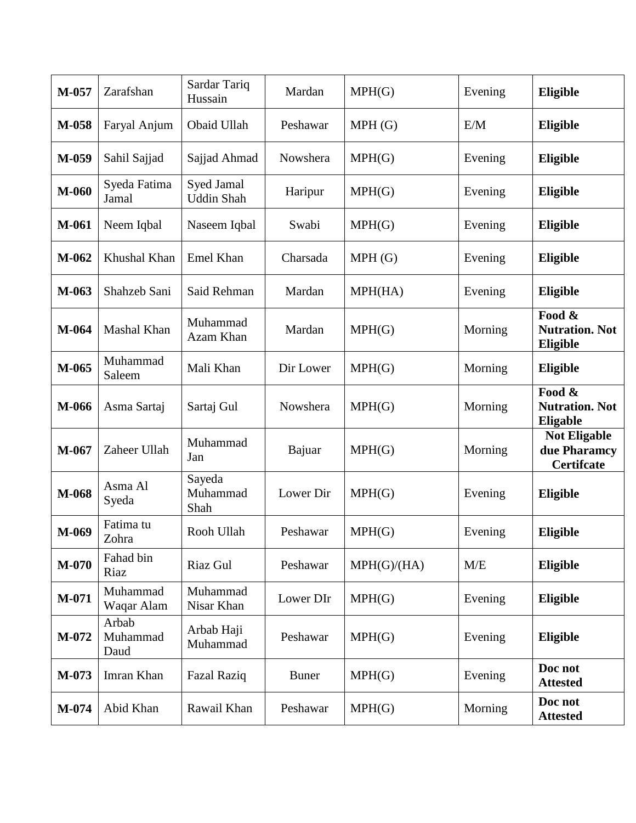| M-057   | Zarafshan                 | Sardar Tariq<br>Hussain         | Mardan       | MPH(G)      | Evening | Eligible                                                 |
|---------|---------------------------|---------------------------------|--------------|-------------|---------|----------------------------------------------------------|
| M-058   | Faryal Anjum              | Obaid Ullah                     | Peshawar     | MPH(G)      | E/M     | Eligible                                                 |
| M-059   | Sahil Sajjad              | Sajjad Ahmad                    | Nowshera     | MPH(G)      | Evening | Eligible                                                 |
| M-060   | Syeda Fatima<br>Jamal     | Syed Jamal<br><b>Uddin Shah</b> | Haripur      | MPH(G)      | Evening | <b>Eligible</b>                                          |
| M-061   | Neem Iqbal                | Naseem Iqbal                    | Swabi        | MPH(G)      | Evening | Eligible                                                 |
| M-062   | Khushal Khan              | Emel Khan                       | Charsada     | MPH(G)      | Evening | Eligible                                                 |
| M-063   | Shahzeb Sani              | Said Rehman                     | Mardan       | MPH(HA)     | Evening | Eligible                                                 |
| M-064   | Mashal Khan               | Muhammad<br>Azam Khan           | Mardan       | MPH(G)      | Morning | Food &<br><b>Nutration. Not</b><br>Eligible              |
| M-065   | Muhammad<br>Saleem        | Mali Khan                       | Dir Lower    | MPH(G)      | Morning | Eligible                                                 |
| M-066   | Asma Sartaj               | Sartaj Gul                      | Nowshera     | MPH(G)      | Morning | Food &<br><b>Nutration. Not</b><br>Eligable              |
| $M-067$ | Zaheer Ullah              | Muhammad<br>Jan                 | Bajuar       | MPH(G)      | Morning | <b>Not Eligable</b><br>due Pharamcy<br><b>Certifcate</b> |
| M-068   | Asma Al<br>Syeda          | Sayeda<br>Muhammad<br>Shah      | Lower Dir    | MPH(G)      | Evening | Eligible                                                 |
| M-069   | Fatima tu<br>Zohra        | Rooh Ullah                      | Peshawar     | MPH(G)      | Evening | Eligible                                                 |
| $M-070$ | Fahad bin<br>Riaz         | Riaz Gul                        | Peshawar     | MPH(G)/(HA) | M/E     | Eligible                                                 |
| $M-071$ | Muhammad<br>Waqar Alam    | Muhammad<br>Nisar Khan          | Lower DIr    | MPH(G)      | Evening | Eligible                                                 |
| M-072   | Arbab<br>Muhammad<br>Daud | Arbab Haji<br>Muhammad          | Peshawar     | MPH(G)      | Evening | <b>Eligible</b>                                          |
| M-073   | Imran Khan                | <b>Fazal Raziq</b>              | <b>Buner</b> | MPH(G)      | Evening | Doc not<br><b>Attested</b>                               |
| M-074   | Abid Khan                 | Rawail Khan                     | Peshawar     | MPH(G)      | Morning | Doc not<br><b>Attested</b>                               |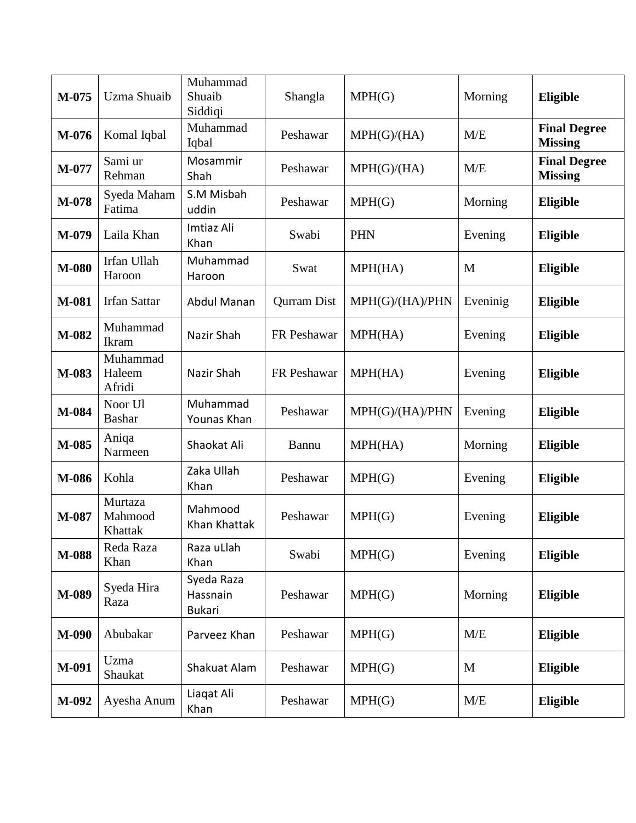| M-075 | <b>Uzma Shuaib</b>            | Muhammad<br>Shuaib<br>Siddiqi           | Shangla            | MPH(G)          | Morning  | Eligible                              |
|-------|-------------------------------|-----------------------------------------|--------------------|-----------------|----------|---------------------------------------|
| M-076 | Komal Iqbal                   | Muhammad<br>Iqbal                       | Peshawar           | MPH(G)/(HA)     | M/E      | <b>Final Degree</b><br><b>Missing</b> |
| M-077 | Sami ur<br>Rehman             | Mosammir<br>Shah                        | Peshawar           | MPH(G)/(HA)     | M/E      | <b>Final Degree</b><br><b>Missing</b> |
| M-078 | Syeda Maham<br>Fatima         | S.M Misbah<br>uddin                     | Peshawar           | MPH(G)          | Morning  | Eligible                              |
| M-079 | Laila Khan                    | <b>Imtiaz Ali</b><br>Khan               | Swabi              | <b>PHN</b>      | Evening  | Eligible                              |
| M-080 | Irfan Ullah<br>Haroon         | Muhammad<br>Haroon                      | Swat               | MPH(HA)         | M        | Eligible                              |
| M-081 | <b>Irfan Sattar</b>           | <b>Abdul Manan</b>                      | <b>Qurram Dist</b> | MPH(G)/(HA)/PHN | Eveninig | Eligible                              |
| M-082 | Muhammad<br>Ikram             | Nazir Shah                              | FR Peshawar        | MPH(HA)         | Evening  | Eligible                              |
| M-083 | Muhammad<br>Haleem<br>Afridi  | Nazir Shah                              | FR Peshawar        | MPH(HA)         | Evening  | Eligible                              |
| M-084 | Noor Ul<br><b>Bashar</b>      | Muhammad<br>Younas Khan                 | Peshawar           | MPH(G)/(HA)/PHN | Evening  | Eligible                              |
| M-085 | Aniqa<br>Narmeen              | Shaokat Ali                             | Bannu              | MPH(HA)         | Morning  | Eligible                              |
| M-086 | Kohla                         | Zaka Ullah<br>Khan                      | Peshawar           | MPH(G)          | Evening  | Eligible                              |
| M-087 | Murtaza<br>Mahmood<br>Khattak | Mahmood<br>Khan Khattak                 | Peshawar           | MPH(G)          | Evening  | Eligible                              |
| M-088 | Reda Raza<br>Khan             | Raza uLlah<br>Khan                      | Swabi              | MPH(G)          | Evening  | Eligible                              |
| M-089 | Syeda Hira<br>Raza            | Syeda Raza<br>Hassnain<br><b>Bukari</b> | Peshawar           | MPH(G)          | Morning  | Eligible                              |
| M-090 | Abubakar                      | Parveez Khan                            | Peshawar           | MPH(G)          | M/E      | Eligible                              |
| M-091 | Uzma<br>Shaukat               | Shakuat Alam                            | Peshawar           | MPH(G)          | M        | Eligible                              |
| M-092 | Ayesha Anum                   | Liaqat Ali<br>Khan                      | Peshawar           | MPH(G)          | M/E      | Eligible                              |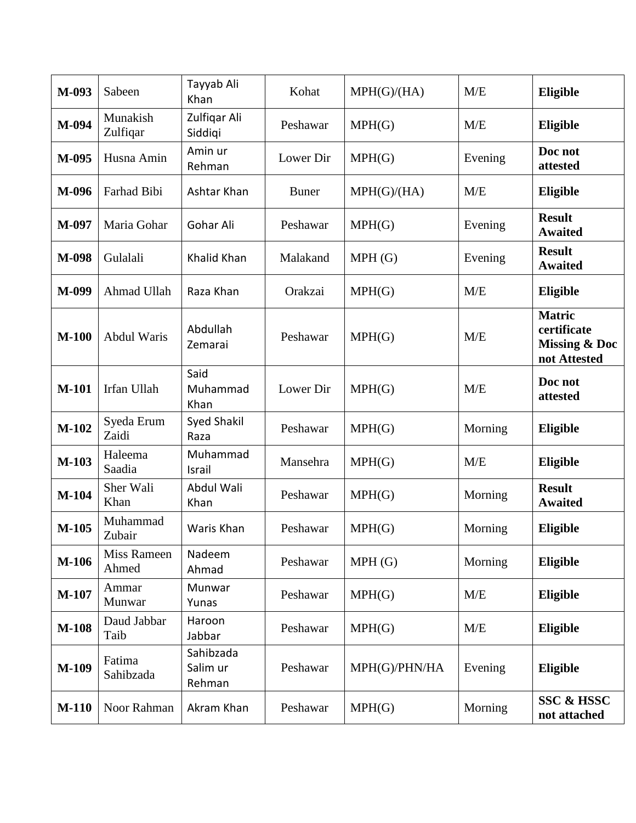| M-093        | Sabeen                      | Tayyab Ali<br>Khan              | Kohat        | MPH(G)/(HA)   | M/E     | Eligible                                                                 |
|--------------|-----------------------------|---------------------------------|--------------|---------------|---------|--------------------------------------------------------------------------|
| M-094        | Munakish<br>Zulfiqar        | Zulfiqar Ali<br>Siddiqi         | Peshawar     | MPH(G)        | M/E     | Eligible                                                                 |
| M-095        | Husna Amin                  | Amin ur<br>Rehman               | Lower Dir    | MPH(G)        | Evening | Doc not<br>attested                                                      |
| M-096        | Farhad Bibi                 | Ashtar Khan                     | <b>Buner</b> | MPH(G)/(HA)   | M/E     | Eligible                                                                 |
| M-097        | Maria Gohar                 | Gohar Ali                       | Peshawar     | MPH(G)        | Evening | <b>Result</b><br><b>Awaited</b>                                          |
| M-098        | Gulalali                    | Khalid Khan                     | Malakand     | MPH(G)        | Evening | <b>Result</b><br><b>Awaited</b>                                          |
| M-099        | Ahmad Ullah                 | Raza Khan                       | Orakzai      | MPH(G)        | M/E     | Eligible                                                                 |
| $M-100$      | <b>Abdul Waris</b>          | Abdullah<br>Zemarai             | Peshawar     | MPH(G)        | M/E     | <b>Matric</b><br>certificate<br><b>Missing &amp; Doc</b><br>not Attested |
| <b>M-101</b> | Irfan Ullah                 | Said<br>Muhammad<br>Khan        | Lower Dir    | MPH(G)        | M/E     | Doc not<br>attested                                                      |
| M-102        | Syeda Erum<br>Zaidi         | <b>Syed Shakil</b><br>Raza      | Peshawar     | MPH(G)        | Morning | Eligible                                                                 |
| M-103        | Haleema<br>Saadia           | Muhammad<br>Israil              | Mansehra     | MPH(G)        | M/E     | Eligible                                                                 |
| M-104        | Sher Wali<br>Khan           | Abdul Wali<br>Khan              | Peshawar     | MPH(G)        | Morning | <b>Result</b><br><b>Awaited</b>                                          |
| $M-105$      | Muhammad<br>Zubair          | Waris Khan                      | Peshawar     | MPH(G)        | Morning | <b>Eligible</b>                                                          |
| M-106        | <b>Miss Rameen</b><br>Ahmed | Nadeem<br>Ahmad                 | Peshawar     | MPH(G)        | Morning | Eligible                                                                 |
| M-107        | Ammar<br>Munwar             | Munwar<br>Yunas                 | Peshawar     | MPH(G)        | M/E     | Eligible                                                                 |
| <b>M-108</b> | Daud Jabbar<br>Taib         | Haroon<br>Jabbar                | Peshawar     | MPH(G)        | M/E     | Eligible                                                                 |
| M-109        | Fatima<br>Sahibzada         | Sahibzada<br>Salim ur<br>Rehman | Peshawar     | MPH(G)/PHN/HA | Evening | Eligible                                                                 |
| <b>M-110</b> | Noor Rahman                 | Akram Khan                      | Peshawar     | MPH(G)        | Morning | <b>SSC &amp; HSSC</b><br>not attached                                    |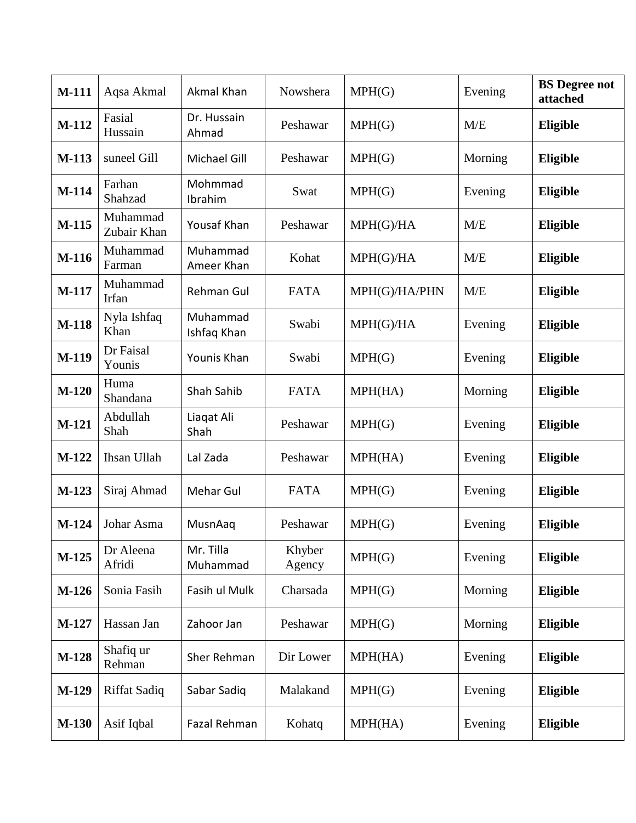| <b>M-111</b> | Aqsa Akmal              | Akmal Khan              | Nowshera         | MPH(G)        | Evening | <b>BS</b> Degree not<br>attached |
|--------------|-------------------------|-------------------------|------------------|---------------|---------|----------------------------------|
| M-112        | Fasial<br>Hussain       | Dr. Hussain<br>Ahmad    | Peshawar         | MPH(G)        | M/E     | Eligible                         |
| M-113        | suneel Gill             | <b>Michael Gill</b>     | Peshawar         | MPH(G)        | Morning | Eligible                         |
| M-114        | Farhan<br>Shahzad       | Mohmmad<br>Ibrahim      | Swat             | MPH(G)        | Evening | <b>Eligible</b>                  |
| M-115        | Muhammad<br>Zubair Khan | Yousaf Khan             | Peshawar         | MPH(G)/HA     | M/E     | Eligible                         |
| <b>M-116</b> | Muhammad<br>Farman      | Muhammad<br>Ameer Khan  | Kohat            | MPH(G)/HA     | M/E     | Eligible                         |
| M-117        | Muhammad<br>Irfan       | <b>Rehman Gul</b>       | <b>FATA</b>      | MPH(G)/HA/PHN | M/E     | Eligible                         |
| <b>M-118</b> | Nyla Ishfaq<br>Khan     | Muhammad<br>Ishfaq Khan | Swabi            | MPH(G)/HA     | Evening | Eligible                         |
| M-119        | Dr Faisal<br>Younis     | Younis Khan             | Swabi            | MPH(G)        | Evening | Eligible                         |
| $M-120$      | Huma<br>Shandana        | Shah Sahib              | <b>FATA</b>      | MPH(HA)       | Morning | Eligible                         |
| M-121        | Abdullah<br>Shah        | Liagat Ali<br>Shah      | Peshawar         | MPH(G)        | Evening | Eligible                         |
| M-122        | Ihsan Ullah             | Lal Zada                | Peshawar         | MPH(HA)       | Evening | Eligible                         |
| M-123        | Siraj Ahmad             | Mehar Gul               | <b>FATA</b>      | MPH(G)        | Evening | Eligible                         |
| $M-124$      | Johar Asma              | MusnAaq                 | Peshawar         | MPH(G)        | Evening | Eligible                         |
| M-125        | Dr Aleena<br>Afridi     | Mr. Tilla<br>Muhammad   | Khyber<br>Agency | MPH(G)        | Evening | Eligible                         |
| $M-126$      | Sonia Fasih             | Fasih ul Mulk           | Charsada         | MPH(G)        | Morning | Eligible                         |
| M-127        | Hassan Jan              | Zahoor Jan              | Peshawar         | MPH(G)        | Morning | Eligible                         |
| M-128        | Shafiq ur<br>Rehman     | Sher Rehman             | Dir Lower        | MPH(HA)       | Evening | Eligible                         |
| M-129        | <b>Riffat Sadiq</b>     | Sabar Sadiq             | Malakand         | MPH(G)        | Evening | Eligible                         |
| <b>M-130</b> | Asif Iqbal              | Fazal Rehman            | Kohatq           | MPH(HA)       | Evening | Eligible                         |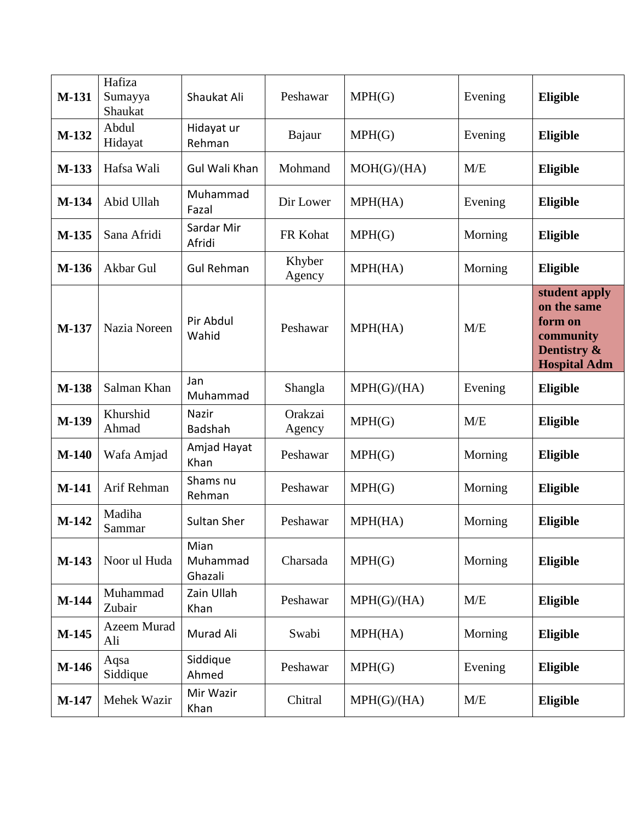| M-131   | Hafiza<br>Sumayya<br>Shaukat | Shaukat Ali                 | Peshawar          | MPH(G)      | Evening | Eligible                                                                                   |
|---------|------------------------------|-----------------------------|-------------------|-------------|---------|--------------------------------------------------------------------------------------------|
| M-132   | Abdul<br>Hidayat             | Hidayat ur<br>Rehman        | Bajaur            | MPH(G)      | Evening | Eligible                                                                                   |
| M-133   | Hafsa Wali                   | Gul Wali Khan               | Mohmand           | MOH(G)/(HA) | M/E     | <b>Eligible</b>                                                                            |
| M-134   | Abid Ullah                   | Muhammad<br>Fazal           | Dir Lower         | MPH(HA)     | Evening | <b>Eligible</b>                                                                            |
| M-135   | Sana Afridi                  | Sardar Mir<br>Afridi        | FR Kohat          | MPH(G)      | Morning | Eligible                                                                                   |
| M-136   | Akbar Gul                    | <b>Gul Rehman</b>           | Khyber<br>Agency  | MPH(HA)     | Morning | Eligible                                                                                   |
| M-137   | Nazia Noreen                 | Pir Abdul<br>Wahid          | Peshawar          | MPH(HA)     | M/E     | student apply<br>on the same<br>form on<br>community<br>Dentistry &<br><b>Hospital Adm</b> |
| M-138   | Salman Khan                  | Jan<br>Muhammad             | Shangla           | MPH(G)/(HA) | Evening | Eligible                                                                                   |
| M-139   | Khurshid<br>Ahmad            | Nazir<br>Badshah            | Orakzai<br>Agency | MPH(G)      | M/E     | Eligible                                                                                   |
| $M-140$ | Wafa Amjad                   | Amjad Hayat<br>Khan         | Peshawar          | MPH(G)      | Morning | Eligible                                                                                   |
| M-141   | Arif Rehman                  | Shams nu<br>Rehman          | Peshawar          | MPH(G)      | Morning | Eligible                                                                                   |
| M-142   | Madiha<br>Sammar             | Sultan Sher                 | Peshawar          | MPH(HA)     | Morning | Eligible                                                                                   |
| M-143   | Noor ul Huda                 | Mian<br>Muhammad<br>Ghazali | Charsada          | MPH(G)      | Morning | Eligible                                                                                   |
| M-144   | Muhammad<br>Zubair           | Zain Ullah<br>Khan          | Peshawar          | MPH(G)/(HA) | M/E     | Eligible                                                                                   |
| M-145   | Azeem Murad<br>Ali           | Murad Ali                   | Swabi             | MPH(HA)     | Morning | Eligible                                                                                   |
| M-146   | Aqsa<br>Siddique             | Siddique<br>Ahmed           | Peshawar          | MPH(G)      | Evening | Eligible                                                                                   |
| M-147   | Mehek Wazir                  | Mir Wazir<br>Khan           | Chitral           | MPH(G)/(HA) | M/E     | Eligible                                                                                   |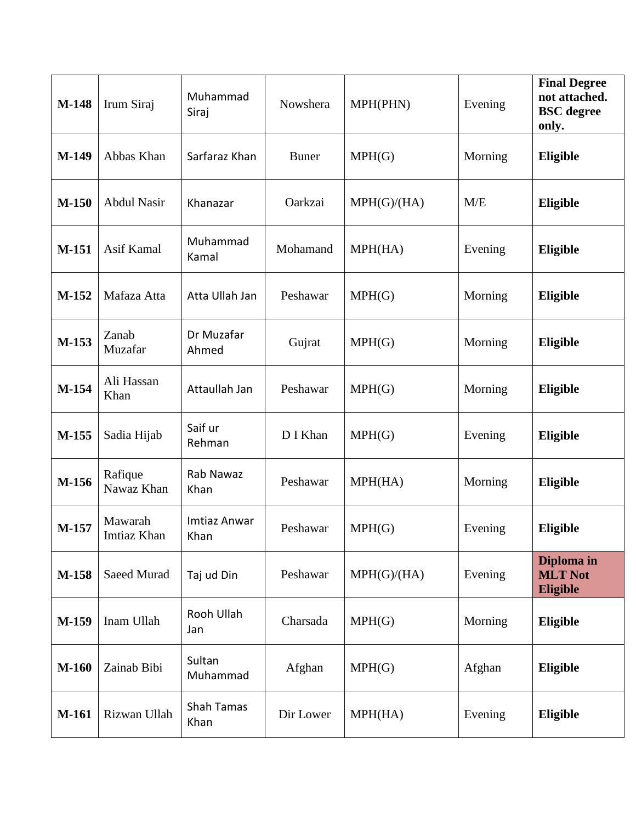| M-148        | Irum Siraj             | Muhammad<br>Siraj    | Nowshera     | MPH(PHN)    | Evening | <b>Final Degree</b><br>not attached.<br><b>BSC</b> degree<br>only. |
|--------------|------------------------|----------------------|--------------|-------------|---------|--------------------------------------------------------------------|
| M-149        | Abbas Khan             | Sarfaraz Khan        | <b>Buner</b> | MPH(G)      | Morning | Eligible                                                           |
| $M-150$      | <b>Abdul Nasir</b>     | Khanazar             | Oarkzai      | MPH(G)/(HA) | M/E     | Eligible                                                           |
| M-151        | Asif Kamal             | Muhammad<br>Kamal    | Mohamand     | MPH(HA)     | Evening | Eligible                                                           |
| M-152        | Mafaza Atta            | Atta Ullah Jan       | Peshawar     | MPH(G)      | Morning | Eligible                                                           |
| M-153        | Zanab<br>Muzafar       | Dr Muzafar<br>Ahmed  | Gujrat       | MPH(G)      | Morning | <b>Eligible</b>                                                    |
| M-154        | Ali Hassan<br>Khan     | Attaullah Jan        | Peshawar     | MPH(G)      | Morning | Eligible                                                           |
| M-155        | Sadia Hijab            | Saif ur<br>Rehman    | D I Khan     | MPH(G)      | Evening | Eligible                                                           |
| M-156        | Rafique<br>Nawaz Khan  | Rab Nawaz<br>Khan    | Peshawar     | MPH(HA)     | Morning | Eligible                                                           |
| M-157        | Mawarah<br>Imtiaz Khan | Imtiaz Anwar<br>Khan | Peshawar     | MPH(G)      | Evening | <b>Eligible</b>                                                    |
| M-158        | Saeed Murad            | Taj ud Din           | Peshawar     | MPH(G)/(HA) | Evening | Diploma in<br><b>MLT Not</b><br><b>Eligible</b>                    |
| M-159        | Inam Ullah             | Rooh Ullah<br>Jan    | Charsada     | MPH(G)      | Morning | Eligible                                                           |
| <b>M-160</b> | Zainab Bibi            | Sultan<br>Muhammad   | Afghan       | MPH(G)      | Afghan  | Eligible                                                           |
| M-161        | Rizwan Ullah           | Shah Tamas<br>Khan   | Dir Lower    | MPH(HA)     | Evening | Eligible                                                           |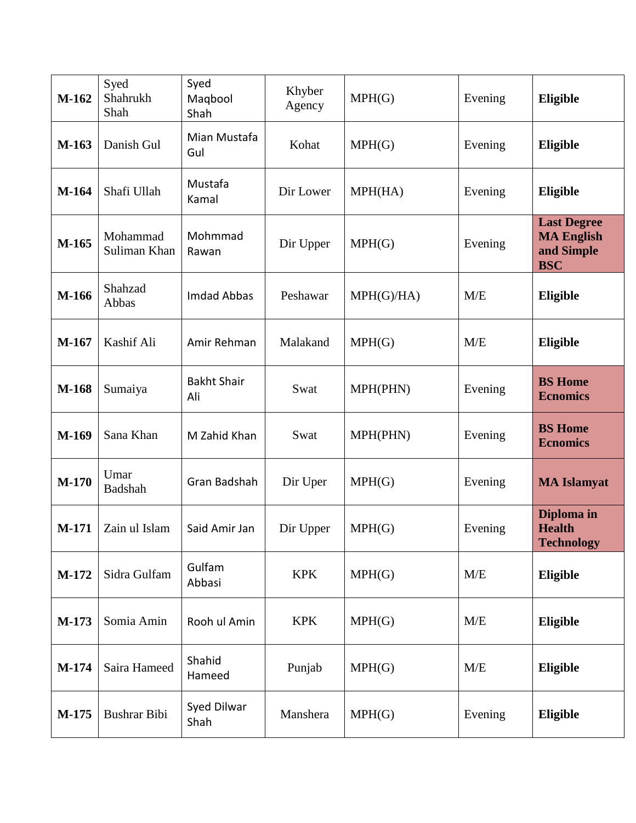| M-162   | Syed<br>Shahrukh<br>Shah | Syed<br>Maqbool<br>Shah   | Khyber<br>Agency | MPH(G)    | Evening | Eligible                                                            |
|---------|--------------------------|---------------------------|------------------|-----------|---------|---------------------------------------------------------------------|
| M-163   | Danish Gul               | Mian Mustafa<br>Gul       | Kohat            | MPH(G)    | Evening | Eligible                                                            |
| M-164   | Shafi Ullah              | Mustafa<br>Kamal          | Dir Lower        | MPH(HA)   | Evening | Eligible                                                            |
| M-165   | Mohammad<br>Suliman Khan | Mohmmad<br>Rawan          | Dir Upper        | MPH(G)    | Evening | <b>Last Degree</b><br><b>MA English</b><br>and Simple<br><b>BSC</b> |
| M-166   | Shahzad<br>Abbas         | <b>Imdad Abbas</b>        | Peshawar         | MPH(G)/HA | M/E     | Eligible                                                            |
| M-167   | Kashif Ali               | Amir Rehman               | Malakand         | MPH(G)    | M/E     | Eligible                                                            |
| M-168   | Sumaiya                  | <b>Bakht Shair</b><br>Ali | Swat             | MPH(PHN)  | Evening | <b>BS</b> Home<br><b>Ecnomics</b>                                   |
| M-169   | Sana Khan                | M Zahid Khan              | Swat             | MPH(PHN)  | Evening | <b>BS</b> Home<br><b>Ecnomics</b>                                   |
| $M-170$ | Umar<br>Badshah          | Gran Badshah              | Dir Uper         | MPH(G)    | Evening | <b>MA Islamyat</b>                                                  |
| M-171   | Zain ul Islam            | Said Amir Jan             | Dir Upper        | MPH(G)    | Evening | Diploma in<br><b>Health</b><br><b>Technology</b>                    |
| M-172   | Sidra Gulfam             | Gulfam<br>Abbasi          | <b>KPK</b>       | MPH(G)    | M/E     | Eligible                                                            |
| M-173   | Somia Amin               | Rooh ul Amin              | <b>KPK</b>       | MPH(G)    | M/E     | Eligible                                                            |
| M-174   | Saira Hameed             | Shahid<br>Hameed          | Punjab           | MPH(G)    | M/E     | Eligible                                                            |
| M-175   | Bushrar Bibi             | Syed Dilwar<br>Shah       | Manshera         | MPH(G)    | Evening | Eligible                                                            |